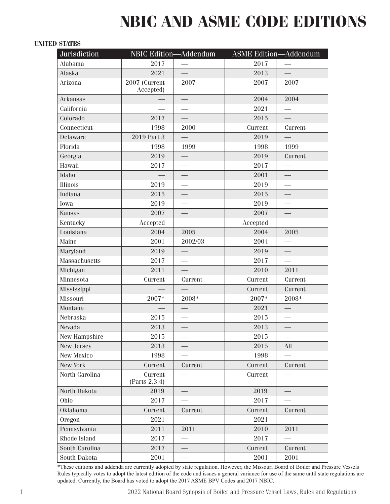# **NBIC AND ASME CODE EDITIONS**

#### **UNITED STATES**

| Jurisdiction      | NBIC Edition-Addendum       |         | <b>ASME Edition-Addendum</b> |                          |
|-------------------|-----------------------------|---------|------------------------------|--------------------------|
| Alabama           | 2017                        |         | 2017                         | $\overline{\phantom{0}}$ |
| Alaska            | 2021                        |         | 2013                         |                          |
| Arizona           | 2007 (Current<br>Accepted)  | 2007    | 2007                         | 2007                     |
| <b>Arkansas</b>   |                             |         | 2004                         | 2004                     |
| California        |                             |         | 2021                         |                          |
| Colorado          | 2017                        |         | 2015                         |                          |
| Connecticut       | 1998                        | 2000    | Current                      | Current                  |
| Delaware          | 2019 Part 3                 |         | 2019                         |                          |
| Florida           | 1998                        | 1999    | 1998                         | 1999                     |
| Georgia           | 2019                        |         | 2019                         | Current                  |
| Hawaii            | 2017                        |         | 2017                         |                          |
| Idaho             |                             |         | 2001                         |                          |
| Illinois          | 2019                        |         | 2019                         |                          |
| Indiana           | 2015                        |         | 2015                         |                          |
| Iowa              | 2019                        |         | 2019                         |                          |
| Kansas            | 2007                        |         | 2007                         |                          |
| Kentucky          | Accepted                    |         | Accepted                     |                          |
| Louisiana         | 2004                        | 2005    | 2004                         | 2005                     |
| Maine             | 2001                        | 2002/03 | 2004                         |                          |
| Maryland          | 2019                        |         | 2019                         |                          |
| Massachusetts     | 2017                        |         | 2017                         |                          |
| Michigan          | 2011                        |         | 2010                         | 2011                     |
| Minnesota         | Current                     | Current | Current                      | Current                  |
| Mississippi       |                             |         | Current                      | Current                  |
| Missouri          | 2007*                       | 2008*   | 2007*                        | 2008*                    |
| Montana           |                             |         | 2021                         |                          |
| Nebraska          | 2015                        |         | 2015                         |                          |
| Nevada            | 2013                        |         | 2013                         |                          |
| New Hampshire     | 2015                        |         | 2015                         |                          |
| <b>New Jersey</b> | 2013                        |         | 2015                         | All                      |
| <b>New Mexico</b> | 1998                        |         | 1998                         |                          |
| New York          | Current                     | Current | Current                      | Current                  |
| North Carolina    | Current<br>(Parts $2,3,4$ ) |         | Current                      |                          |
| North Dakota      | 2019                        |         | 2019                         |                          |
| Ohio              | 2017                        |         | 2017                         |                          |
| Oklahoma          | Current                     | Current | Current                      | Current                  |
| Oregon            | 2021                        |         | 2021                         |                          |
| Pennsylvania      | 2011                        | 2011    | 2010                         | 2011                     |
| Rhode Island      | 2017                        |         | 2017                         |                          |
| South Carolina    | 2017                        |         | Current                      | Current                  |
| South Dakota      | 2001                        |         | 2001                         | 2001                     |

\*These editions and addenda are currently adopted by state regulation. However, the Missouri Board of Boiler and Pressure Vessels Rules typically votes to adopt the latest edition of the code and issues a general variance for use of the same until state regulations are updated. Currently, the Board has voted to adopt the 2017 ASME BPV Codes and 2017 NBIC.